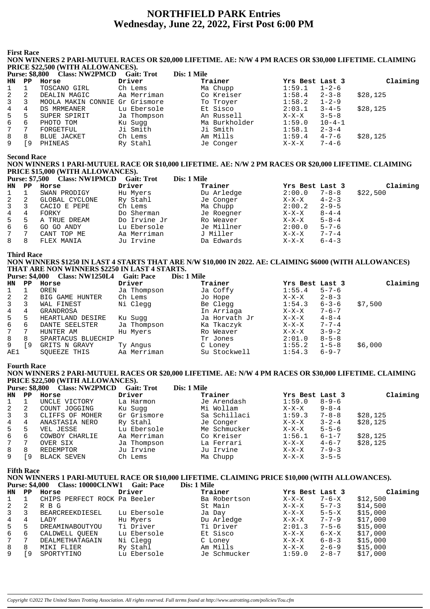# **NORTHFIELD PARK Entries** Wednesday, June 22, 2022, First Post 6:00 PM

**First Race** 

#### NON WINNERS 2 PARI-MUTUEL RACES OR \$20,000 LIFETIME. AE: N/W 4 PM RACES OR \$30,000 LIFETIME. CLAIMING PRICE \$22,500 (WITH ALLOWANCES).

| <b>Purse: \$8,800</b> |     | <b>Class: NW2PMCD</b>          | <b>Gait: Trot</b> | Dis: 1 Mile   |                 |              |          |
|-----------------------|-----|--------------------------------|-------------------|---------------|-----------------|--------------|----------|
| HN                    | PP. | Horse                          | Driver            | Trainer       | Yrs Best Last 3 |              | Claiming |
|                       |     | TOSCANO GIRL                   | Ch Lems           | Ma Chupp      | 1:59.1          | $1 - 2 - 6$  |          |
| 2                     |     | DEALIN MAGIC                   | Aa Merriman       | Co Kreiser    | 1:58.4          | $2 - 3 - 8$  | \$28,125 |
| 3                     |     | MOOLA MAKIN CONNIE Gr Grismore |                   | To Troyer     | 1:58.2          | $1 - 2 - 9$  |          |
| 4                     | 4   | DS MRMEANER                    | Lu Ebersole       | Et Sisco      | 2:03.1          | $3 - 4 - 5$  | \$28,125 |
| 5                     | 5   | SUPER SPIRIT                   | Ja Thompson       | An Russell    | $X-X-X$         | $3 - 5 - 8$  |          |
| 6                     | 6   | PHOTO TOM                      | Ku Sugg           | Ma Burkholder | 1:59.0          | $10 - 4 - 1$ |          |
| 7 <sup>7</sup>        |     | FORGETFUL                      | Ji Smith          | Ji Smith      | 1:58.1          | $2 - 3 - 4$  |          |
| 8                     | 8   | <b>BLUE JACKET</b>             | Ch Lems           | Am Mills      | 1:59.4          | $4 - 7 - 6$  | \$28,125 |
| 9                     | -9  | PHINEAS                        | Ry Stahl          | Je Conger     | $X-X-X$         | $7 - 4 - 6$  |          |

**Second Race** 

## NON WINNERS 1 PARI-MUTUEL RACE OR \$10,000 LIFETIME. AE: N/W 2 PM RACES OR \$20,000 LIFETIME. CLAIMING PRICE \$15,000 (WITH ALLOWANCES).

|                | <b>Purse: \$7,500</b> | <b>Class: NW1PMCD</b> | <b>Gait: Trot</b> | Dis: 1 Mile |                        |          |
|----------------|-----------------------|-----------------------|-------------------|-------------|------------------------|----------|
| HN.            | PP                    | Horse                 | Driver            | Trainer     | Yrs Best Last 3        | Claiming |
|                |                       | SWAN PRODIGY          | Hu Myers          | Du Arledge  | 2:00.0<br>$7 - 8 - 8$  | \$22,500 |
| 2              | -2                    | GLOBAL CYCLONE        | Ry Stahl          | Je Conger   | $4 - 2 - 3$<br>$X-X-X$ |          |
| $\overline{3}$ | 3                     | CACIO E PEPE          | Ch Lems           | Ma Chupp    | $2 - 9 - 5$<br>2:00.2  |          |
| 4              | 4                     | FORKY                 | Do Sherman        | Je Roegner  | $8 - 4 - 4$<br>$X-X-X$ |          |
| 5              | -5                    | A TRUE DREAM          | Do Irvine Jr      | Ro Weaver   | $5 - 8 - 4$<br>X-X-X   |          |
| 6              | 6                     | GO GO ANDY            | Lu Ebersole       | Je Millner  | 2:00.0<br>$5 - 7 - 6$  |          |
| 7              | -7                    | CANT TOP ME           | Aa Merriman       | J Miller    | $7 - 7 - 4$<br>$X-X-X$ |          |
| 8              | 8                     | FLEX MANIA            | Ju Irvine         | Da Edwards  | $6 - 4 - 3$<br>$X-X-X$ |          |

**Third Race** 

NON WINNERS \$1250 IN LAST 4 STARTS THAT ARE N/W \$10,000 IN 2022. AE: CLAIMING \$6000 (WITH ALLOWANCES) THAT ARE NON WINNERS \$2250 IN LAST 4 STARTS.

|  | Purse: \$4,000 Class: NW1250L4 Gait: Pace |  | Dis: 1 Mile |
|--|-------------------------------------------|--|-------------|
|--|-------------------------------------------|--|-------------|

|     |     | ______________________ |             |               |                 |             |         |          |
|-----|-----|------------------------|-------------|---------------|-----------------|-------------|---------|----------|
| HN  | PP. | Horse                  | Driver      | Trainer       | Yrs Best Last 3 |             |         | Claiming |
|     |     | OREN                   | Ja Thompson | Ja Coffy      | 1:55.4          | $5 - 7 - 6$ |         |          |
| 2   | 2   | BIG GAME HUNTER        | Ch Lems     | Jo Hope       | X-X-X           | $2 - 8 - 3$ |         |          |
| 3   |     | WAL FINEST             | Ni Clegg    | Be Clegg      | 1:54.3          | $6 - 3 - 6$ | \$7,500 |          |
| 4   | 4   | GRANDROSA              |             | In Arriaga    | X-X-X           | $7 - 6 - 7$ |         |          |
| 5   | 5   | HEARTLAND DESIRE       | Ku Sugg     | Ja Horvath Jr | X-X-X           | $4 - 8 - 4$ |         |          |
| 6   | 6   | DANTE SEELSTER         | Ja Thompson | Ka Tkaczyk    | X-X-X           | $7 - 7 - 4$ |         |          |
| 7   |     | HUNTER AM              | Hu Myers    | Ro Weaver     | X-X-X           | $3 - 9 - 2$ |         |          |
| 8   | 8   | SPARTACUS BLUECHIP     |             | Tr Jones      | 2:01.0          | $8 - 5 - 8$ |         |          |
| 9   | 9   | GRITS N GRAVY          | Ty Angus    | C Loney       | 1:55.2          | $1 - 5 - 8$ | \$6,000 |          |
| AE1 |     | SOUEEZE THIS           | Aa Merriman | Su Stockwell  | 1:54.3          | $6 - 9 - 7$ |         |          |
|     |     |                        |             |               |                 |             |         |          |

#### **Fourth Race**

NON WINNERS 2 PARI-MUTUEL RACES OR \$20,000 LIFETIME. AE: N/W 4 PM RACES OR \$30,000 LIFETIME. CLAIMING PRICE \$22,500 (WITH ALLOWANCES).

|                | <b>Purse: \$8,800</b> | <b>Class: NW2PMCD</b> | <b>Gait: Trot</b> | Dis: 1 Mile  |                 |             |          |
|----------------|-----------------------|-----------------------|-------------------|--------------|-----------------|-------------|----------|
| HN             | PP                    | Horse                 | Driver            | Trainer      | Yrs Best Last 3 |             | Claiming |
|                |                       | UNCLE VICTORY         | La Harmon         | Je Arendash  | 1:59.0          | $8 - 9 - 6$ |          |
| 2              | 2                     | COUNT JOGGING         | Ku Sugg           | Mi Wollam    | X-X-X           | $9 - 8 - 4$ |          |
| $\overline{3}$ |                       | CLIFFS OF MOHER       | Gr Grismore       | Sa Schillaci | 1:59.3          | $7 - 8 - 8$ | \$28,125 |
| 4              | 4                     | ANASTASIA NERO        | Ry Stahl          | Je Conger    | $X-X-X$         | $3 - 2 - 4$ | \$28,125 |
| 5              | 5.                    | VEL JESSE             | Lu Ebersole       | Me Schmucker | $X-X-X$         | $5 - 5 - 6$ |          |
| 6              | 6                     | COWBOY CHARLIE        | Aa Merriman       | Co Kreiser   | 1:56.1          | $6 - 1 - 7$ | \$28,125 |
| 7              |                       | OVER SIX              | Ja Thompson       | La Ferrari   | $X-X-X$         | $4 - 6 - 7$ | \$28.125 |
| 8              | 8                     | REDEMPTOR             | Ju Irvine         | Ju Irvine    | $X-X-X$         | $7 - 9 - 3$ |          |
| 9              | 9                     | BLACK SEVEN           | Ch Lems           | Ma Chupp     | $X-X-X$         | $3 - 5 - 5$ |          |

**Fifth Race** 

#### NON WINNERS 1 PARI-MUTUEL RACE OR \$10,000 LIFETIME. CLAIMING PRICE \$10,000 (WITH ALLOWANCES). Purse: \$4,000 Class: 10000CLNW1 Gait: Pace Dis: 1 Mile

| HN | PP | Horse                        | Driver      | Trainer      | Yrs Best Last 3 |             | Claiming |
|----|----|------------------------------|-------------|--------------|-----------------|-------------|----------|
|    |    | CHIPS PERFECT ROCK Pa Beeler |             | Ba Robertson | $X-X-X$         | $7 - 6 - X$ | \$12,500 |
| 2  |    | R B G                        |             | St Main      | X-X-X           | $5 - 7 - 3$ | \$14,500 |
| 3  |    | BEARCREEKDIESEL              | Lu Ebersole | Ja Day       | X-X-X           | $5 - 5 - X$ | \$15,000 |
| 4  | 4  | LADY                         | Hu Myers    | Du Arledge   | $X-X-X$         | $7 - 7 - 9$ | \$17,000 |
| 5  | 5  | DREAMINABOUTYOU              | Ti Driver   | Ti Driver    | 2:01.3          | $7 - 5 - 6$ | \$15,000 |
| 6  | 6  | CALDWELL OUEEN               | Lu Ebersole | Et Sisco     | X-X-X           | $6 - X - X$ | \$17,000 |
|    |    | DEALMETHATAGAIN              | Ni Clegg    | C Loney      | $X-X-X$         | $6 - 8 - 3$ | \$15,000 |
| 8  | 8  | MIKI FLIER                   | Ry Stahl    | Am Mills     | $X-X-X$         | $2 - 6 - 9$ | \$15,000 |
| 9  | 9  | SPORTYTINO                   | Lu Ebersole | Je Schmucker | 1:59.0          | $2 - 8 - 7$ | \$17,000 |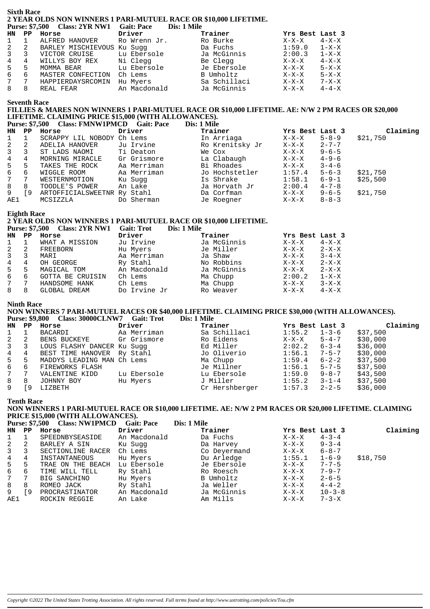#### **Sixth Race** <sup>2</sup> YEAR OLDS NON WINNERS 1 PARI-MUTUEL RACE OR \$10,000 LIFETIME.<br>Purse: \$7.500 Class: 2VR NW1 Cait: Pace Dis: 1 Mile Class: 2YR NW1 Gait: Pace Dis: 1 Mile

|                 |   | $\mathbf{r}$ and $\mathbf{r}$ , $\mathbf{r}$ and $\mathbf{r}$ class: $\mathbf{z}$ in $\mathbf{r}$ in $\mathbf{r}$ in $\mathbf{r}$ and $\mathbf{r}$ | DIS, 1 MHE   |              |                 |             |
|-----------------|---|----------------------------------------------------------------------------------------------------------------------------------------------------|--------------|--------------|-----------------|-------------|
| HN PP           |   | Horse                                                                                                                                              | Driver       | Trainer      | Yrs Best Last 3 |             |
| $1 \quad 1$     |   | ALFRED HANOVER                                                                                                                                     | Ro Wrenn Jr. | Ro Burke     | $X-X-X$         | $4 - X - X$ |
| $2 \quad 2$     |   | BARLEY MISCHIEVOUS Ku Suqq                                                                                                                         |              | Da Fuchs     | 1:59.0          | $1 - X - X$ |
| $3^{\circ}$     | 3 | VICTOR CRUISE                                                                                                                                      | Lu Ebersole  | Ja McGinnis  | 2:00.3          | $1 - X - X$ |
| $4\overline{ }$ | 4 | WILLYS BOY REX                                                                                                                                     | Ni Clegg     | Be Clegg     | $X-X-X$         | $4 - X - X$ |
| 5               | 5 | MOMMA BEAR                                                                                                                                         | Lu Ebersole  | Je Ebersole  | $X-X-X$         | $5 - X - X$ |
| 6               | 6 | MASTER CONFECTION                                                                                                                                  | Ch Lems      | B Umholtz    | X-X-X           | $5 - X - X$ |
| $7^{\circ}$     | 7 | HAPPIERDAYSRCOMIN                                                                                                                                  | Hu Myers     | Sa Schillaci | X-X-X           | 7-X-X       |
| 8               | 8 | REAL FEAR                                                                                                                                          | An Macdonald | Ja McGinnis  | X-X-X           | $4 - 4 - X$ |
|                 |   |                                                                                                                                                    |              |              |                 |             |

#### **Seventh Race**

#### FILLIES & MARES NON WINNERS 1 PARI-MUTUEL RACE OR \$10,000 LIFETIME. AE: N/W 2 PM RACES OR \$20,000 LIFETIME. CLAIMING PRICE \$15,000 (WITH ALLOWANCES). İe

| <b>Purse: \$7,500</b> |  | <b>Class: FMNW1PMCD</b> | <b>Gait: Pace</b> | Dis: 1 Mil |
|-----------------------|--|-------------------------|-------------------|------------|
|                       |  |                         |                   |            |

| HN           | PP. | Horse                       | Driver      | Trainer         | Yrs Best Last 3 |             | Claiming |
|--------------|-----|-----------------------------|-------------|-----------------|-----------------|-------------|----------|
|              |     | SCRAPPY LIL NOBODY Ch Lems  |             | In Arriaga      | X-X-X           | $5 - 8 - 9$ | \$21,750 |
| 2            |     | ADELIA HANOVER              | Ju Irvine   | Ro Krenitsky Jr | $X-X-X$         | $2 - 7 - 7$ |          |
| $\mathbf{3}$ |     | ST LADS NAOMI               | Ti Deaton   | We Cox          | X-X-X           | $9 - 6 - 5$ |          |
| 4            | 4   | MORNING MIRACLE             | Gr Grismore | La Clabaugh     | $X-X-X$         | $4 - 9 - 6$ |          |
| 5            | 5   | TAKES THE ROCK              | Aa Merriman | Bi Rhoades      | X-X-X           | $3 - 4 - 6$ |          |
| 6            | 6   | WIGGLE ROOM                 | Aa Merriman | Jo Hochstetler  | 1:57.4          | $5 - 6 - 3$ | \$21,750 |
| 7            | 7   | WESTERNMOTION               | Ku Suqq     | Is Shrake       | 1:58.1          | $6 - 9 - 1$ | \$25,500 |
| 8            | 8   | TOODLE'S POWER              | An Lake     | Ja Horvath Jr   | 2:00.4          | $4 - 7 - 8$ |          |
| 9            | و ّ | ARTOFFICIALSWEETNR Ry Stahl |             | Da Corfman      | X-X-X           | $9 - 6 - 5$ | \$21,750 |
| AE1          |     | MCSIZZLA                    | Do Sherman  | Je Roegner      | X-X-X           | $8 - 8 - 3$ |          |

#### **Eighth Race**

#### 2 YEAR OLDS NON WINNERS 1 PARI-MUTUEL RACE OR \$10,000 LIFETIME. Purse: \$7.500 Class: 2VR NW1 Gait: Trot Dis<sup>.</sup> 1 Mile

|     |                | $\blacksquare$ and $\blacksquare$ . The $\blacksquare$ . The $\blacksquare$ is the set of $\blacksquare$ | $\sim$<br>$\sim$ 100 $\sim$ 100 $\sim$ |             |                        |  |
|-----|----------------|----------------------------------------------------------------------------------------------------------|----------------------------------------|-------------|------------------------|--|
| HN. | PP             | Horse                                                                                                    | Driver                                 | Trainer     | Yrs Best Last 3        |  |
|     |                | WHAT A MISSION                                                                                           | Ju Irvine                              | Ja McGinnis | $4 - X - X$<br>$X-X-X$ |  |
|     | -2             | FREEBORN                                                                                                 | Hu Myers                               | Je Miller   | $2 - X - X$<br>$X-X-X$ |  |
|     |                | MARI                                                                                                     | Aa Merriman                            | Ja Shaw     | $3 - 4 - X$<br>X-X-X   |  |
|     | 4              | OH GEORGE                                                                                                | Ry Stahl                               | No Robbins  | $2 - X - X$<br>$X-X-X$ |  |
| 5   | 5              | MAGICAL TOM                                                                                              | An Macdonald                           | Ja McGinnis | $2 - X - X$<br>$X-X-X$ |  |
| 6   | 6              | <b>GOTTA BE CRUISIN</b>                                                                                  | Ch Lems                                | Ma Chupp    | 2:00.2<br>$1 - X - X$  |  |
|     | $\overline{7}$ | HANDSOME HANK                                                                                            | Ch Lems                                | Ma Chupp    | $3-X-X$<br>$X-X-X$     |  |
|     |                | GLOBAL DREAM                                                                                             | Do Irvine Jr                           | Ro Weaver   | $4 - X - X$<br>$X-X-X$ |  |

#### **Ninth Race**

# NON WINNERS 7 PARI-MUTUEL RACES OR \$40,000 LIFETIME. CLAIMING PRICE \$30,000 (WITH ALLOWANCES).<br>Purse: \$9,800 Class: 30000CLNW7 Gait: Trot Dis: 1 Mile

|              | 1 UISC. 02,000 | $\mathbf{U}$ (Lass. JUUUUCLIN W | Udil. 1190  | різ. І ічше    |                 |             |          |
|--------------|----------------|---------------------------------|-------------|----------------|-----------------|-------------|----------|
| HN           | PP             | Horse                           | Driver      | Trainer        | Yrs Best Last 3 |             | Claiming |
|              |                | BACARDI                         | Aa Merriman | Sa Schillaci   | 1:55.2          | $1 - 3 - 6$ | \$37,500 |
| 2            | 2              | BENS BUCKEYE                    | Gr Grismore | Ro Eidens      | $X-X-X$         | $5 - 4 - 7$ | \$30,000 |
| $\mathbf{3}$ |                | LOUS FLASHY DANCER Ku Suqq      |             | Ed Miller      | 2:02.2          | $6 - 3 - 4$ | \$36,000 |
| 4            | 4              | BEST TIME HANOVER Ry Stahl      |             | Jo Oliverio    | 1:56.1          | $7 - 5 - 7$ | \$30,000 |
| 5            | 5              | MADDYS LEADING MAN Ch Lems      |             | Ma Chupp       | 1:59.4          | $6 - 2 - 2$ | \$37,500 |
| 6            | 6              | FIREWORKS FLASH                 |             | Je Millner     | 1:56.1          | $5 - 7 - 5$ | \$37,500 |
| 7            |                | VALENTINE KIDD                  | Lu Ebersole | Lu Ebersole    | 1:59.0          | $9 - 8 - 7$ | \$43,500 |
| 8            | 8              | JOHNNY BOY                      | Hu Myers    | J Miller       | 1:55.2          | $3 - 1 - 4$ | \$37,500 |
| 9            | 9              | LIZBETH                         |             | Cr Hershberger | 1:57.3          | $2 - 2 - 5$ | \$36,000 |
|              |                |                                 |             |                |                 |             |          |

# **Tenth Race**

#### NON WINNERS 1 PARI-MUTUEL RACE OR \$10,000 LIFETIME. AE: N/W 2 PM RACES OR \$20,000 LIFETIME. CLAIMING **PRICE \$15,000 (WITH ALLOWANCES).**  $T^* = 1 M$

|                 |     | Purse: \$7,500 Class: NWIPMCD | Gait: Pace   | Dis: 1 Mile  |                 |              |          |
|-----------------|-----|-------------------------------|--------------|--------------|-----------------|--------------|----------|
| HN PP           |     | Horse                         | Driver       | Trainer      | Yrs Best Last 3 |              | Claiming |
| $\mathbf{1}$    |     | SPEEDNBYSEASIDE               | An Macdonald | Da Fuchs     | $X-X-X$         | $4 - 3 - 4$  |          |
| 2               | -2  | BARLEY A SIN                  | Ku Sugg      | Da Harvey    | $X-X-X$         | $9 - 3 - 4$  |          |
| $\overline{3}$  | 3   | SECTIONLINE RACER             | Ch Lems      | Co Deyermand | $X-X-X$         | $6 - 8 - 7$  |          |
| $4\overline{ }$ | 4   | INSTANTANEOUS                 | Hu Myers     | Du Arledge   | 1:55.1          | $1 - 6 - 9$  | \$18,750 |
| 5               | 5   | TRAE ON THE BEACH             | Lu Ebersole  | Je Ebersole  | $X-X-X$         | $7 - 7 - 5$  |          |
| 6               | 6   | TIME WILL TELL                | Ry Stahl     | Ro Roesch    | $X-X-X$         | $7 - 9 - 7$  |          |
| 7               | 7   | BIG SANCHINO                  | Hu Myers     | B Umholtz    | X-X-X           | $2 - 6 - 5$  |          |
| 8               | 8   | ROMEO JACK                    | Ry Stahl     | Ja Weller    | $X-X-X$         | $4 - 4 - 2$  |          |
| 9               | ſ9. | PROCRASTINATOR                | An Macdonald | Ja McGinnis  | X-X-X           | $10 - 3 - 8$ |          |
| AE1             |     | ROCKIN REGGIE                 | An Lake      | Am Mills     | $X-X-X$         | $7 - 3 - X$  |          |